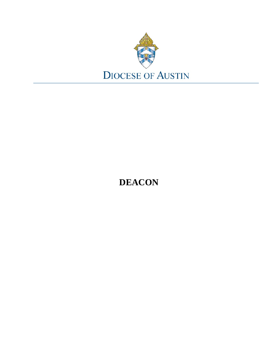

# **DEACON**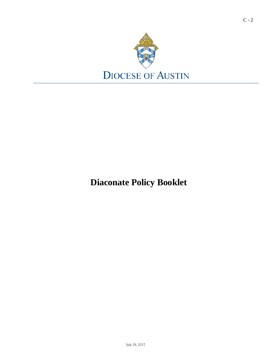

**Diaconate Policy Booklet**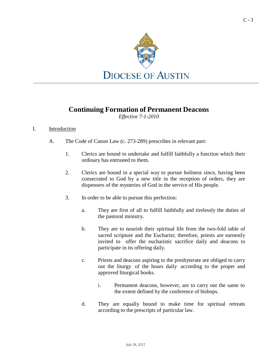

### **Continuing Formation of Permanent Deacons**

*Effective 7-1-2010*

#### I. Introduction

- A. The Code of Canon Law (c. 273-289) prescribes in relevant part:
	- 1. Clerics are bound to undertake and fulfill faithfully a function which their ordinary has entrusted to them.
	- 2. Clerics are bound in a special way to pursue holiness since, having been consecrated to God by a new title in the reception of orders, they are dispensers of the mysteries of God in the service of His people.
	- 3. In order to be able to pursue this perfection:
		- a. They are first of all to fulfill faithfully and tirelessly the duties of the pastoral ministry.
		- b. They are to nourish their spiritual life from the two-fold table of sacred scripture and the Eucharist; therefore, priests are earnestly invited to offer the eucharistic sacrifice daily and deacons to participate in its offering daily.
		- c. Priests and deacons aspiring to the presbyterate are obliged to carry out the liturgy of the hours daily according to the proper and approved liturgical books.
			- i. Permanent deacons, however, are to carry out the same to the extent defined by the conference of bishops.
		- d. They are equally bound to make time for spiritual retreats according to the prescripts of particular law.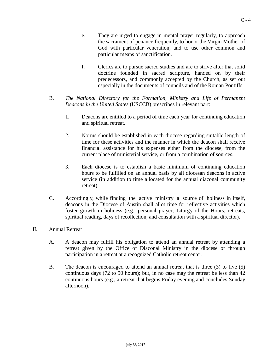- e. They are urged to engage in mental prayer regularly, to approach the sacrament of penance frequently, to honor the Virgin Mother of God with particular veneration, and to use other common and particular means of sanctification.
- f. Clerics are to pursue sacred studies and are to strive after that solid doctrine founded in sacred scripture, handed on by their predecessors, and commonly accepted by the Church, as set out especially in the documents of councils and of the Roman Pontiffs.
- B. *The National Directory for the Formation, Ministry and Life of Permanent Deacons in the United States* (USCCB) prescribes in relevant part:
	- 1. Deacons are entitled to a period of time each year for continuing education and spiritual retreat.
	- 2. Norms should be established in each diocese regarding suitable length of time for these activities and the manner in which the deacon shall receive financial assistance for his expenses either from the diocese, from the current place of ministerial service, or from a combination of sources.
	- 3. Each diocese is to establish a basic minimum of continuing education hours to be fulfilled on an annual basis by all diocesan deacons in active service (in addition to time allocated for the annual diaconal community retreat).
- C. Accordingly, while finding the active ministry a source of holiness in itself, deacons in the Diocese of Austin shall allot time for reflective activities which foster growth in holiness (e.g., personal prayer, Liturgy of the Hours, retreats, spiritual reading, days of recollection, and consultation with a spiritual director).

#### II. Annual Retreat

- A. A deacon may fulfill his obligation to attend an annual retreat by attending a retreat given by the Office of Diaconal Ministry in the diocese or through participation in a retreat at a recognized Catholic retreat center.
- B. The deacon is encouraged to attend an annual retreat that is three (3) to five (5) continuous days (72 to 90 hours); but, in no case may the retreat be less than 42 continuous hours (e.g., a retreat that begins Friday evening and concludes Sunday afternoon).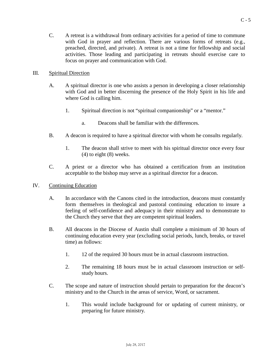C. A retreat is a withdrawal from ordinary activities for a period of time to commune with God in prayer and reflection. There are various forms of retreats (e.g., preached, directed, and private). A retreat is not a time for fellowship and social activities. Those leading and participating in retreats should exercise care to focus on prayer and communication with God.

#### III. Spiritual Direction

- A. A spiritual director is one who assists a person in developing a closer relationship with God and in better discerning the presence of the Holy Spirit in his life and where God is calling him.
	- 1. Spiritual direction is not "spiritual companionship" or a "mentor."
		- a. Deacons shall be familiar with the differences.
- B. A deacon is required to have a spiritual director with whom he consults regularly.
	- 1. The deacon shall strive to meet with his spiritual director once every four (4) to eight (8) weeks.
- C. A priest or a director who has obtained a certification from an institution acceptable to the bishop may serve as a spiritual director for a deacon.

#### IV. Continuing Education

- A. In accordance with the Canons cited in the introduction, deacons must constantly form themselves in theological and pastoral continuing education to insure a feeling of self-confidence and adequacy in their ministry and to demonstrate to the Church they serve that they are competent spiritual leaders.
- B. All deacons in the Diocese of Austin shall complete a minimum of 30 hours of continuing education every year (excluding social periods, lunch, breaks, or travel time) as follows:
	- 1. 12 of the required 30 hours must be in actual classroom instruction.
	- 2. The remaining 18 hours must be in actual classroom instruction or selfstudy hours.
- C. The scope and nature of instruction should pertain to preparation for the deacon's ministry and to the Church in the areas of service, Word, or sacrament.
	- 1. This would include background for or updating of current ministry, or preparing for future ministry.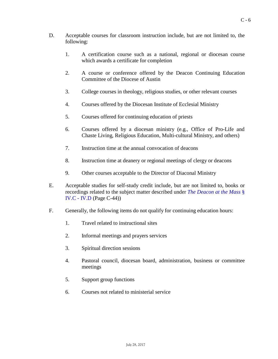- D. Acceptable courses for classroom instruction include, but are not limited to, the following:
	- 1. A certification course such as a national, regional or diocesan course which awards a certificate for completion
	- 2. A course or conference offered by the Deacon Continuing Education Committee of the Diocese of Austin
	- 3. College courses in theology, religious studies, or other relevant courses
	- 4. Courses offered by the Diocesan Institute of Ecclesial Ministry
	- 5. Courses offered for continuing education of priests
	- 6. Courses offered by a diocesan ministry (e.g., Office of Pro-Life and Chaste Living, Religious Education, Multi-cultural Ministry, and others)
	- 7. Instruction time at the annual convocation of deacons
	- 8. Instruction time at deanery or regional meetings of clergy or deacons
	- 9. Other courses acceptable to the Director of Diaconal Ministry
- E. Acceptable studies for self-study credit include, but are not limited to, books or recordings related to the subject matter described under *The [Deacon](#page-42-0) at the Mass* § [IV.C -](#page-42-0) IV.D (Page C-44))
- F. Generally, the following items do not qualify for continuing education hours:
	- 1. Travel related to instructional sites
	- 2. Informal meetings and prayers services
	- 3. Spiritual direction sessions
	- 4. Pastoral council, diocesan board, administration, business or committee meetings
	- 5. Support group functions
	- 6. Courses not related to ministerial service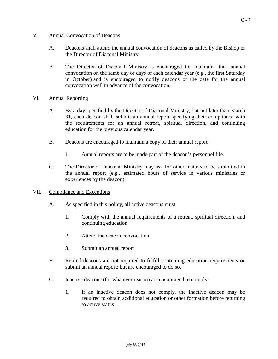#### V. Annual Convocation of Deacons

- A. Deacons shall attend the annual convocation of deacons as called by the Bishop or the Director of Diaconal Ministry.
- B. The Director of Diaconal Ministry is encouraged to maintain the annual convocation on the same day or days of each calendar year (e.g., the first Saturday in October) and is encouraged to notify deacons of the date for the annual convocation well in advance of the convocation.
- VI. Annual Reporting
	- A. By a day specified by the Director of Diaconal Ministry, but not later than March 31, each deacon shall submit an annual report specifying their compliance with the requirements for an annual retreat, spiritual direction, and continuing education for the previous calendar year.
	- B. Deacons are encouraged to maintain a copy of their annual report.
		- 1. Annual reports are to be made part of the deacon's personnel file.
	- C. The Director of Diaconal Ministry may ask for other matters to be submitted in the annual report (e.g., estimated hours of service in various ministries or experiences by the deacon).
- VII. Compliance and Exceptions
	- A. As specified in this policy, all active deacons must
		- 1. Comply with the annual requirements of a retreat, spiritual direction, and continuing education
		- 2. Attend the deacon convocation
		- 3. Submit an annual report
	- B. Retired deacons are not required to fulfill continuing education requirements or submit an annual report; but are encouraged to do so.
	- C. Inactive deacons (for whatever reason) are encouraged to comply.
		- 1. If an inactive deacon does not comply, the inactive deacon may be required to obtain additional education or other formation before returning to active status.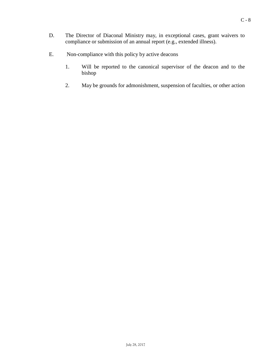- D. The Director of Diaconal Ministry may, in exceptional cases, grant waivers to compliance or submission of an annual report (e.g., extended illness).
- E. Non-compliance with this policy by active deacons
	- 1. Will be reported to the canonical supervisor of the deacon and to the bishop
	- 2. May be grounds for admonishment, suspension of faculties, or other action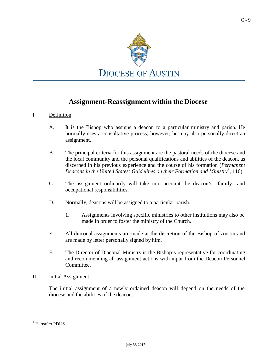

### **Assignment-Reassignment within the Diocese**

#### I. Definition

- A. It is the Bishop who assigns a deacon to a particular ministry and parish. He normally uses a consultative process; however, he may also personally direct an assignment.
- B. The principal criteria for this assignment are the pastoral needs of the diocese and the local community and the personal qualifications and abilities of the deacon, as discerned in his previous experience and the course of his formation (*Permanent Deacons in the United States: Guidelines on their Formation and Ministry [1](#page-8-0)* , 116).
- C. The assignment ordinarily will take into account the deacon's family and occupational responsibilities.
- D. Normally, deacons will be assigned to a particular parish.
	- 1. Assignments involving specific ministries to other institutions may also be made in order to foster the ministry of the Church.
- E. All diaconal assignments are made at the discretion of the Bishop of Austin and are made by letter personally signed by him.
- F. The Director of Diaconal Ministry is the Bishop's representative for coordinating and recommending all assignment actions with input from the Deacon Personnel Committee.

#### II. Initial Assignment

The initial assignment of a newly ordained deacon will depend on the needs of the diocese and the abilities of the deacon.

<span id="page-8-0"></span> $<sup>1</sup>$  Hereafter PDUS</sup>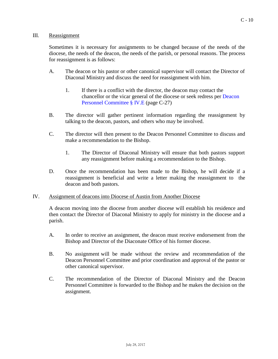#### III. Reassignment

Sometimes it is necessary for assignments to be changed because of the needs of the diocese, the needs of the deacon, the needs of the parish, or personal reasons. The process for reassignment is as follows:

- A. The deacon or his pastor or other canonical supervisor will contact the Director of Diaconal Ministry and discuss the need for reassignment with him.
	- 1. If there is a conflict with the director, the deacon may contact the chancellor or the vicar general of the diocese or seek redress per [Deacon](#page-25-0) [Personnel Committee](#page-25-0) § IV.E (page C-27)
- B. The director will gather pertinent information regarding the reassignment by talking to the deacon, pastors, and others who may be involved.
- C. The director will then present to the Deacon Personnel Committee to discuss and make a recommendation to the Bishop.
	- 1. The Director of Diaconal Ministry will ensure that both pastors support any reassignment before making a recommendation to the Bishop.
- D. Once the recommendation has been made to the Bishop, he will decide if a reassignment is beneficial and write a letter making the reassignment to the deacon and both pastors.

#### IV. Assignment of deacons into Diocese of Austin from Another Diocese

A deacon moving into the diocese from another diocese will establish his residence and then contact the Director of Diaconal Ministry to apply for ministry in the diocese and a parish.

- A. In order to receive an assignment, the deacon must receive endorsement from the Bishop and Director of the Diaconate Office of his former diocese.
- B. No assignment will be made without the review and recommendation of the Deacon Personnel Committee and prior coordination and approval of the pastor or other canonical supervisor.
- C. The recommendation of the Director of Diaconal Ministry and the Deacon Personnel Committee is forwarded to the Bishop and he makes the decision on the assignment.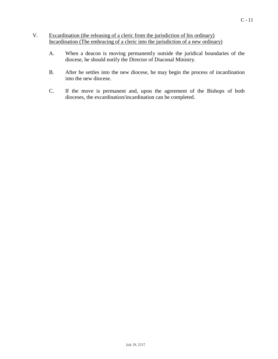- V. Excardination (the releasing of a cleric from the jurisdiction of his ordinary) Incardination (The embracing of a cleric into the jurisdiction of a new ordinary)
	- A. When a deacon is moving permanently outside the juridical boundaries of the diocese, he should notify the Director of Diaconal Ministry.
	- B. After he settles into the new diocese, he may begin the process of incardination into the new diocese.
	- C. If the move is permanent and, upon the agreement of the Bishops of both dioceses, the excardination/incardination can be completed.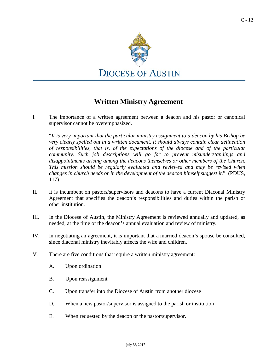

### **Written Ministry Agreement**

I. The importance of a written agreement between a deacon and his pastor or canonical supervisor cannot be overemphasized.

"*It is very important that the particular ministry assignment to a deacon by his Bishop be very clearly spelled out in a written document. It should always contain clear delineation of responsibilities, that is, of the expectations of the diocese and of the particular community. Such job descriptions will go far to prevent misunderstandings and disappointments arising among the deacons themselves or other members of the Church. This mission should be regularly evaluated and reviewed and may be revised when changes in church needs or in the development of the deacon himself suggest it.*" (PDUS, 117)

- II. It is incumbent on pastors/supervisors and deacons to have a current Diaconal Ministry Agreement that specifies the deacon's responsibilities and duties within the parish or other institution.
- III. In the Diocese of Austin, the Ministry Agreement is reviewed annually and updated, as needed, at the time of the deacon's annual evaluation and review of ministry.
- IV. In negotiating an agreement, it is important that a married deacon's spouse be consulted, since diaconal ministry inevitably affects the wife and children.
- V. There are five conditions that require a written ministry agreement:
	- A. Upon ordination
	- B. Upon reassignment
	- C. Upon transfer into the Diocese of Austin from another diocese
	- D. When a new pastor/supervisor is assigned to the parish or institution
	- E. When requested by the deacon or the pastor/supervisor.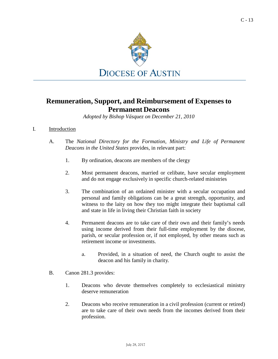

### **Remuneration, Support, and Reimbursement of Expenses to Permanent Deacons**

*Adopted by Bishop Vásquez on December 21, 2010*

#### I. Introduction

- A. The *National Directory for the Formation, Ministry and Life of Permanent Deacons in the United States* provides, in relevant part:
	- 1. By ordination, deacons are members of the clergy
	- 2. Most permanent deacons, married or celibate, have secular employment and do not engage exclusively in specific church-related ministries
	- 3. The combination of an ordained minister with a secular occupation and personal and family obligations can be a great strength, opportunity, and witness to the laity on how they too might integrate their baptismal call and state in life in living their Christian faith in society
	- 4. Permanent deacons are to take care of their own and their family's needs using income derived from their full-time employment by the diocese, parish, or secular profession or, if not employed, by other means such as retirement income or investments.
		- a. Provided, in a situation of need, the Church ought to assist the deacon and his family in charity.
- B. Canon 281.3 provides:
	- 1. Deacons who devote themselves completely to ecclesiastical ministry deserve remuneration
	- 2. Deacons who receive remuneration in a civil profession (current or retired) are to take care of their own needs from the incomes derived from their profession.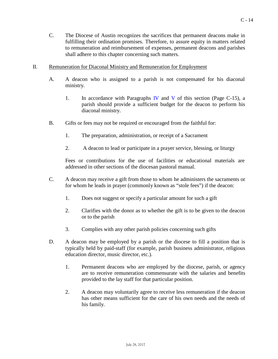- C. The Diocese of Austin recognizes the sacrifices that permanent deacons make in fulfilling their ordination promises. Therefore, to assure equity in matters related to remuneration and reimbursement of expenses, permanent deacons and parishes shall adhere to this chapter concerning such matters.
- II. Remuneration for Diaconal Ministry and Remuneration for Employment
	- A. A deacon who is assigned to a parish is not compensated for his diaconal ministry.
		- 1. In accordance with Paragraphs [IV](#page-14-0) and [V](#page-14-1) of this section (Page  $C-15$ ), a parish should provide a sufficient budget for the deacon to perform his diaconal ministry.
	- B. Gifts or fees may not be required or encouraged from the faithful for:
		- 1. The preparation, administration, or receipt of a Sacrament
		- 2. A deacon to lead or participate in a prayer service, blessing, or liturgy

Fees or contributions for the use of facilities or educational materials are addressed in other sections of the diocesan pastoral manual.

- C. A deacon may receive a gift from those to whom he administers the sacraments or for whom he leads in prayer (commonly known as "stole fees") if the deacon:
	- 1. Does not suggest or specify a particular amount for such a gift
	- 2. Clarifies with the donor as to whether the gift is to be given to the deacon or to the parish
	- 3. Complies with any other parish policies concerning such gifts
- D. A deacon may be employed by a parish or the diocese to fill a position that is typically held by paid-staff (for example, parish business administrator, religious education director, music director, etc.).
	- 1. Permanent deacons who are employed by the diocese, parish, or agency are to receive remuneration commensurate with the salaries and benefits provided to the lay staff for that particular position.
	- 2. A deacon may voluntarily agree to receive less remuneration if the deacon has other means sufficient for the care of his own needs and the needs of his family.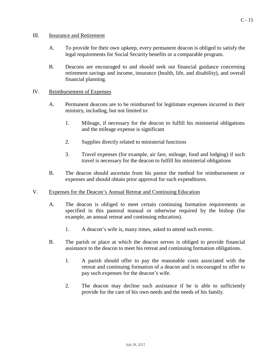#### III. Insurance and Retirement

- A. To provide for their own upkeep, every permanent deacon is obliged to satisfy the legal requirements for Social Security benefits or a comparable program.
- B. Deacons are encouraged to and should seek out financial guidance concerning retirement savings and income, insurance (health, life, and disability), and overall financial planning.

#### <span id="page-14-0"></span>IV. Reimbursement of Expenses

- A. Permanent deacons are to be reimbursed for legitimate expenses incurred in their ministry, including, but not limited to:
	- 1. Mileage, if necessary for the deacon to fulfill his ministerial obligations and the mileage expense is significant
	- 2. Supplies directly related to ministerial functions
	- 3. Travel expenses (for example, air fare, mileage, food and lodging) if such travel is necessary for the deacon to fulfill his ministerial obligations
- B. The deacon should ascertain from his pastor the method for reimbursement or expenses and should obtain prior approval for such expenditures.

#### <span id="page-14-1"></span>V. Expenses for the Deacon's Annual Retreat and Continuing Education

- A. The deacon is obliged to meet certain continuing formation requirements as specified in this pastoral manual or otherwise required by the bishop (for example, an annual retreat and continuing education).
	- 1. A deacon's wife is, many times, asked to attend such events.
- B. The parish or place at which the deacon serves is obliged to provide financial assistance to the deacon to meet his retreat and continuing formation obligations.
	- 1. A parish should offer to pay the reasonable costs associated with the retreat and continuing formation of a deacon and is encouraged to offer to pay such expenses for the deacon's wife.
	- 2. The deacon may decline such assistance if he is able to sufficiently provide for the care of his own needs and the needs of his family.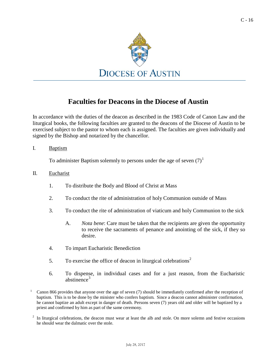$C - 16$ 



### **Faculties for Deacons in the Diocese of Austin**

In accordance with the duties of the deacon as described in the 1983 Code of Canon Law and the liturgical books, the following faculties are granted to the deacons of the Diocese of Austin to be exercised subject to the pastor to whom each is assigned. The faculties are given individually and signed by the Bishop and notarized by the chancellor.

I. Baptism

To administer Baptism solemnly to persons under the age of seven  $(7)^1$ 

- II. Eucharist
	- 1. To distribute the Body and Blood of Christ at Mass
	- 2. To conduct the rite of administration of holy Communion outside of Mass
	- 3. To conduct the rite of administration of viaticum and holy Communion to the sick
		- A. *Nota bene*: Care must be taken that the recipients are given the opportunity to receive the sacraments of penance and anointing of the sick, if they so desire.
	- 4. To impart Eucharistic Benediction
	- 5. To exercise the office of deacon in liturgical celebrations<sup>2</sup>
	- 6. To dispense, in individual cases and for a just reason, from the Eucharistic abstinence $3$
- <sup>1</sup> Canon 866 provides that anyone over the age of seven (7) should be immediately confirmed after the reception of baptism. This is to be done by the minister who confers baptism. Since a deacon cannot administer confirmation, he cannot baptize an adult except in danger of death. Persons seven (7) years old and older will be baptized by a priest and confirmed by him as part of the same ceremony.
- $2\;\;$  In liturgical celebrations, the deacon must wear at least the alb and stole. On more solemn and festive occasions he should wear the dalmatic over the stole.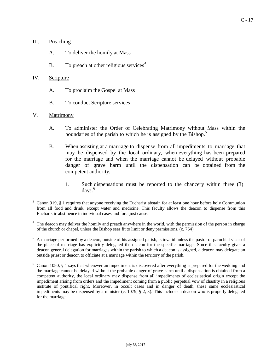- III. Preaching
	- A. To deliver the homily at Mass
	- B. To preach at other religious services $4$

#### IV. Scripture

- A. To proclaim the Gospel at Mass
- B. To conduct Scripture services

#### V. Matrimony

- A. To administer the Order of Celebrating Matrimony without Mass within the boundaries of the parish to which he is assigned by the Bishop.<sup>5</sup>
- B. When assisting at a marriage to dispense from all impediments to marriage that may be dispensed by the local ordinary, when everything has been prepared for the marriage and when the marriage cannot be delayed without probable danger of grave harm until the dispensation can be obtained from the competent authority.
	- 1. Such dispensations must be reported to the chancery within three (3) days. 6
- $3 \text{ Canon } 919$ ,  $\S$  1 requires that anyone receiving the Eucharist abstain for at least one hour before holy Communion from all food and drink, except water and medicine. This faculty allows the deacon to dispense from this Eucharistic abstinence in individual cases and for a just cause.
- <sup>4</sup> The deacon may deliver the homily and preach anywhere in the world, with the permission of the person in charge of the church or chapel, unless the Bishop sees fit to limit or deny permissions. (c. 764)
- <sup>5</sup> A marriage performed by a deacon, outside of his assigned parish, is invalid unless the pastor or parochial vicar of the place of marriage has explicitly delegated the deacon for the specific marriage. Since this faculty gives a deacon general delegation for marriages within the parish to which a deacon is assigned, a deacon may delegate an outside priest or deacon to officiate at a marriage within the territory of the parish.
- <sup>6</sup> Canon 1080, § 1 says that whenever an impediment is discovered after everything is prepared for the wedding and the marriage cannot be delayed without the probable danger of grave harm until a dispensation is obtained from a competent authority, the local ordinary may dispense from all impediments of ecclesiastical origin except the impediment arising from orders and the impediment coming from a public perpetual vow of chastity in a religious institute of pontifical right. Moreover, in occult cases and in danger of death, these same ecclesiastical impediments may be dispensed by a minister (c. 1079, § 2, 3). This includes a deacon who is properly delegated for the marriage.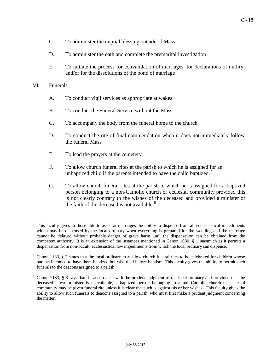- C. To administer the nuptial blessing outside of Mass
- D. To administer the oath and complete the premarital investigation
- E. To initiate the process for convalidation of marriages, for declarations of nullity, and/or for the dissolutions of the bond of marriage

#### VI. Funerals

- A. To conduct vigil services as appropriate at wakes
- B. To conduct the Funeral Service without the Mass
- C. To accompany the body from the funeral home to the church
- D. To conduct the rite of final commendation when it does not immediately follow the funeral Mass
- E. To lead the prayers at the cemetery
- F. To allow church funeral rites at the parish to which he is assigned for an unbaptized child if the parents intended to have the child baptized.<sup>7</sup>
- G. To allow church funeral rites at the parish to which he is assigned for a baptized person belonging to a non-Catholic church or ecclesial community provided this is not clearly contrary to the wishes of the deceased and provided a minister of the faith of the deceased is not available.<sup>8</sup>

This faculty gives to those able to assist at marriages the ability to dispense from all ecclesiastical impediments which may be dispensed by the local ordinary when everything is prepared for the wedding and the marriage cannot be delayed without probable danger of grave harm until the dispensation can be obtained from the competent authority. It is an extension of the instances mentioned in Canon 1080, § 1 inasmuch as it permits a dispensation from non-occult, ecclesiastical law impediments from which the local ordinary can dispense.

 $7$  Canon 1183, § 2 states that the local ordinary may allow church funeral rites to be celebrated for children whose parents intended to have them baptized but who died before baptism. This faculty gives the ability to permit such funerals to the deacons assigned to a parish.

<sup>&</sup>lt;sup>8</sup> Canon 1183, § 3 says that, in accordance with the prudent judgment of the local ordinary and provided that the deceased's own minister is unavailable, a baptized person belonging to a non-Catholic church or ecclesial community may be given funeral rite unless it is clear that such is against his or her wishes. This faculty gives the ability to allow such funerals to deacons assigned to a parish, who must first make a prudent judgment concerning the matter.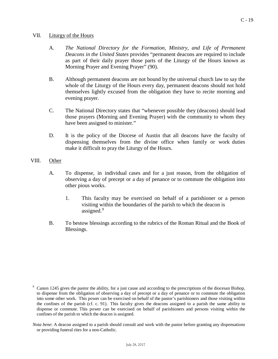#### VII. Liturgy of the Hours

- A. *The National Directory for the Formation, Ministry, and Life of Permanent Deacons in the United States* provides "permanent deacons are required to include as part of their daily prayer those parts of the Liturgy of the Hours known as Morning Prayer and Evening Prayer" (90).
- B. Although permanent deacons are not bound by the universal church law to say the whole of the Liturgy of the Hours every day, permanent deacons should not hold themselves lightly excused from the obligation they have to recite morning and evening prayer.
- C. The National Directory states that "whenever possible they (deacons) should lead those prayers (Morning and Evening Prayer) with the community to whom they have been assigned to minister."
- D. It is the policy of the Diocese of Austin that all deacons have the faculty of dispensing themselves from the divine office when family or work duties make it difficult to pray the Liturgy of the Hours.

#### VIII. Other

- A. To dispense, in individual cases and for a just reason, from the obligation of observing a day of precept or a day of penance or to commute the obligation into other pious works.
	- 1. This faculty may be exercised on behalf of a parishioner or a person visiting within the boundaries of the parish to which the deacon is assigned.<sup>9</sup>
- B. To bestow blessings according to the rubrics of the Roman Ritual and the Book of Blessings.

<sup>9</sup> Canon 1245 gives the pastor the ability, for a just cause and according to the prescriptions of the diocesan Bishop, to dispense from the obligation of observing a day of precept or a day of penance or to commute the obligation into some other work. This power can be exercised on behalf of the pastor's parishioners and those visiting within the confines of the parish (cf. c. 91). This faculty gives the deacons assigned to a parish the same ability to dispense or commute. This power can be exercised on behalf of parishioners and persons visiting within the confines of the parish to which the deacon is assigned.

*Nota bene*: A deacon assigned to a parish should consult and work with the pastor before granting any dispensations or providing funeral rites for a non-Catholic.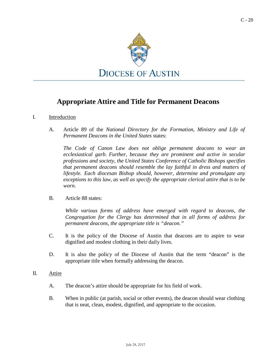

### **Appropriate Attire and Title for Permanent Deacons**

#### <span id="page-19-0"></span>I. Introduction

A. Article 89 of the *National Directory for the Formation, Ministry and Life of Permanent Deacons in the United States* states:

*The Code of Canon Law does not oblige permanent deacons to wear an ecclesiastical garb. Further, because they are prominent and active in secular professions and society, the United States Conference of Catholic Bishops specifies that permanent deacons should resemble the lay faithful in dress and matters of lifestyle. Each diocesan Bishop should, however, determine and promulgate any exceptions to this law, as well as specify the appropriate clerical attire that is to be worn.*

B. Article 88 states:

*While various forms of address have emerged with regard to deacons, the Congregation for the Clergy has determined that in all forms of address for permanent deacons, the appropriate title is "deacon."*

- C. It is the policy of the Diocese of Austin that deacons are to aspire to wear dignified and modest clothing in their daily lives.
- D. It is also the policy of the Diocese of Austin that the term "deacon" is the appropriate title when formally addressing the deacon.

#### II. Attire

- A. The deacon's attire should be appropriate for his field of work.
- B. When in public (at parish, social or other events), the deacon should wear clothing that is neat, clean, modest, dignified, and appropriate to the occasion.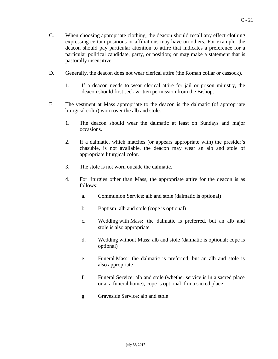- C. When choosing appropriate clothing, the deacon should recall any effect clothing expressing certain positions or affiliations may have on others. For example, the deacon should pay particular attention to attire that indicates a preference for a particular political candidate, party, or position; or may make a statement that is pastorally insensitive.
- D. Generally, the deacon does not wear clerical attire (the Roman collar or cassock).
	- 1. If a deacon needs to wear clerical attire for jail or prison ministry, the deacon should first seek written permission from the Bishop.
- E. The vestment at Mass appropriate to the deacon is the dalmatic (of appropriate liturgical color) worn over the alb and stole.
	- 1. The deacon should wear the dalmatic at least on Sundays and major occasions.
	- 2. If a dalmatic, which matches (or appears appropriate with) the presider's chasuble, is not available, the deacon may wear an alb and stole of appropriate liturgical color.
	- 3. The stole is not worn outside the dalmatic.
	- 4. For liturgies other than Mass, the appropriate attire for the deacon is as follows:
		- a. Communion Service: alb and stole (dalmatic is optional)
		- b. Baptism: alb and stole (cope is optional)
		- c. Wedding with Mass: the dalmatic is preferred, but an alb and stole is also appropriate
		- d. Wedding without Mass: alb and stole (dalmatic is optional; cope is optional)
		- e. Funeral Mass: the dalmatic is preferred, but an alb and stole is also appropriate
		- f. Funeral Service: alb and stole (whether service is in a sacred place or at a funeral home); cope is optional if in a sacred place
		- g. Graveside Service: alb and stole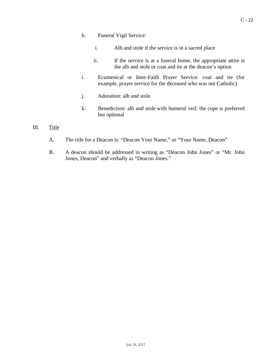- h. Funeral Vigil Service:
	- i. Alb and stole if the service is in a sacred place
	- ii. If the service is at a funeral home, the appropriate attire is the alb and stole or coat and tie at the deacon's option
- i. Ecumenical or Inter-Faith Prayer Service: coat and tie (for example, prayer service for the deceased who was not Catholic)
- j. Adoration: alb and stole
- k. Benediction: alb and stole with humeral veil; the cope is preferred but optional

#### III. Title

- A. The title for a Deacon is: "Deacon Your Name," or "Your Name, Deacon"
- B. A deacon should be addressed in writing as "Deacon John Jones" or "Mr. John Jones, Deacon" and verbally as "Deacon Jones."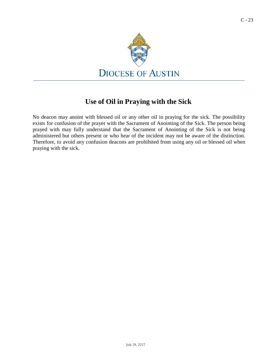

### **Use of Oil in Praying with the Sick**

No deacon may anoint with blessed oil or any other oil in praying for the sick. The possibility exists for confusion of the prayer with the Sacrament of Anointing of the Sick. The person being prayed with may fully understand that the Sacrament of Anointing of the Sick is not being administered but others present or who hear of the incident may not be aware of the distinction. Therefore, to avoid any confusion deacons are prohibited from using any oil or blessed oil when praying with the sick.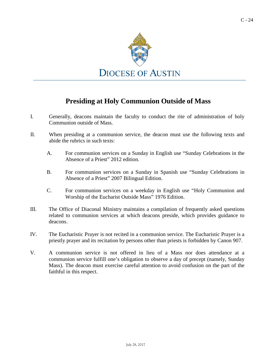

### **Presiding at Holy Communion Outside of Mass**

- I. Generally, deacons maintain the faculty to conduct the rite of administration of holy Communion outside of Mass.
- II. When presiding at a communion service, the deacon must use the following texts and abide the rubrics in such texts:
	- A. For communion services on a Sunday in English use "Sunday Celebrations in the Absence of a Priest" 2012 edition.
	- B. For communion services on a Sunday in Spanish use "Sunday Celebrations in Absence of a Priest" 2007 Bilingual Edition.
	- C. For communion services on a weekday in English use "Holy Communion and Worship of the Eucharist Outside Mass" 1976 Edition.
- III. The Office of Diaconal Ministry maintains a compilation of frequently asked questions related to communion services at which deacons preside, which provides guidance to deacons.
- IV. The Eucharistic Prayer is not recited in a communion service. The Eucharistic Prayer is a priestly prayer and its recitation by persons other than priests is forbidden by Canon 907.
- V. A communion service is not offered in lieu of a Mass nor does attendance at a communion service fulfill one's obligation to observe a day of precept (namely, Sunday Mass). The deacon must exercise careful attention to avoid confusion on the part of the faithful in this respect.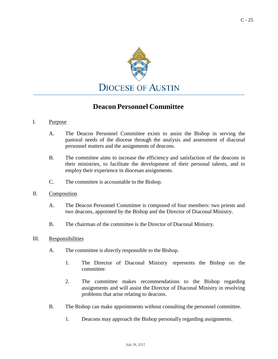

### **Deacon Personnel Committee**

#### I. Purpose

- A. The Deacon Personnel Committee exists to assist the Bishop in serving the pastoral needs of the diocese through the analysis and assessment of diaconal personnel matters and the assignments of deacons.
- B. The committee aims to increase the efficiency and satisfaction of the deacons in their ministries, to facilitate the development of their personal talents, and to employ their experience in diocesan assignments.
- C. The committee is accountable to the Bishop.
- II. Composition
	- A. The Deacon Personnel Committee is composed of four members: two priests and two deacons, appointed by the Bishop and the Director of Diaconal Ministry.
	- B. The chairman of the committee is the Director of Diaconal Ministry.
- III. Responsibilities
	- A. The committee is directly responsible to the Bishop.
		- 1. The Director of Diaconal Ministry represents the Bishop on the committee.
		- 2. The committee makes recommendations to the Bishop regarding assignments and will assist the Director of Diaconal Ministry in resolving problems that arise relating to deacons.
	- B. The Bishop can make appointments without consulting the personnel committee.
		- 1. Deacons may approach the Bishop personally regarding assignments.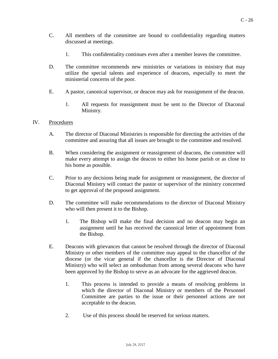- C. All members of the committee are bound to confidentiality regarding matters discussed at meetings.
	- 1. This confidentiality continues even after a member leaves the committee.
- D. The committee recommends new ministries or variations in ministry that may utilize the special talents and experience of deacons, especially to meet the ministerial concerns of the poor.
- E. A pastor, canonical supervisor, or deacon may ask for reassignment of the deacon.
	- 1. All requests for reassignment must be sent to the Director of Diaconal Ministry.

#### IV. Procedures

- A. The director of Diaconal Ministries is responsible for directing the activities of the committee and assuring that all issues are brought to the committee and resolved.
- B. When considering the assignment or reassignment of deacons, the committee will make every attempt to assign the deacon to either his home parish or as close to his home as possible.
- C. Prior to any decisions being made for assignment or reassignment, the director of Diaconal Ministry will contact the pastor or supervisor of the ministry concerned to get approval of the proposed assignment.
- D. The committee will make recommendations to the director of Diaconal Ministry who will then present it to the Bishop.
	- 1. The Bishop will make the final decision and no deacon may begin an assignment until he has received the canonical letter of appointment from the Bishop.
- <span id="page-25-0"></span>E. Deacons with grievances that cannot be resolved through the director of Diaconal Ministry or other members of the committee may appeal to the chancellor of the diocese (or the vicar general if the chancellor is the Director of Diaconal Ministry) who will select an ombudsman from among several deacons who have been approved by the Bishop to serve as an advocate for the aggrieved deacon.
	- 1. This process is intended to provide a means of resolving problems in which the director of Diaconal Ministry or members of the Personnel Committee are parties to the issue or their personnel actions are not acceptable to the deacon.
	- 2. Use of this process should be reserved for serious matters.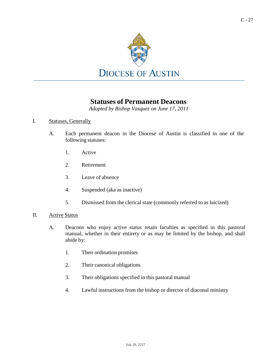

### **Statuses of Permanent Deacons**

*Adopted by Bishop Vasquez on June 17, 2011*

#### I. Statuses, Generally

- A. Each permanent deacon in the Diocese of Austin is classified in one of the following statuses:
	- 1. Active
	- 2. Retirement
	- 3. Leave of absence
	- 4. Suspended (aka as inactive)
	- 5. Dismissed from the clerical state (commonly referred to as laicized)
- <span id="page-26-0"></span>II. Active Status
	- A. Deacons who enjoy active status retain faculties as specified in this pastoral manual, whether in their entirety or as may be limited by the bishop, and shall abide by:
		- 1. Their ordination promises
		- 2. Their canonical obligations
		- 3. Their obligations specified in this pastoral manual
		- 4. Lawful instructions from the bishop or director of diaconal ministry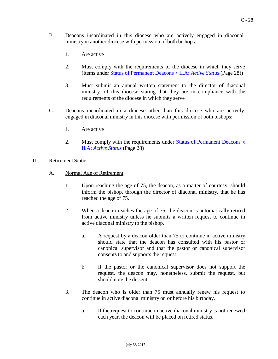- B. Deacons incardinated in this diocese who are actively engaged in diaconal ministry in another diocese with permission of both bishops:
	- 1. Are active
	- 2. Must comply with the requirements of the diocese in which they serve (items under Status of [Permanent](#page-26-0) Deacons § II.A: *Active Status* (Page 28))
	- 3. Must submit an annual written statement to the director of diaconal ministry of this diocese stating that they are in compliance with the requirements of the diocese in which they serve
- C. Deacons incardinated in a diocese other than this diocese who are actively engaged in diaconal ministry in this diocese with permission of both bishops:
	- 1. Are active
	- 2. Must comply with the requirements under Status of [Permanent](#page-26-0) Deacons § II.A: *[Active](#page-26-0) Status* (Page 28)
- III. Retirement Status
	- A. Normal Age of Retirement
		- 1. Upon reaching the age of 75, the deacon, as a matter of courtesy, should inform the bishop, through the director of diaconal ministry, that he has reached the age of 75.
		- 2. When a deacon reaches the age of 75, the deacon is automatically retired from active ministry unless he submits a written request to continue in active diaconal ministry to the bishop.
			- a. A request by a deacon older than 75 to continue in active ministry should state that the deacon has consulted with his pastor or canonical supervisor and that the pastor or canonical supervisor consents to and supports the request.
			- b. If the pastor or the canonical supervisor does not support the request, the deacon may, nonetheless, submit the request, but should note the dissent.
		- 3. The deacon who is older than 75 must annually renew his request to continue in active diaconal ministry on or before his birthday.
			- a. If the request to continue in active diaconal ministry is not renewed each year, the deacon will be placed on retired status.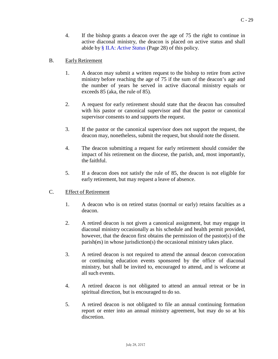4. If the bishop grants a deacon over the age of 75 the right to continue in active diaconal ministry, the deacon is placed on active status and shall abide by [§ II.A:](#page-26-0) *Active Status* (Page 28) of this policy.

#### B. EarlyRetirement

- 1. A deacon may submit a written request to the bishop to retire from active ministry before reaching the age of 75 if the sum of the deacon's age and the number of years he served in active diaconal ministry equals or exceeds 85 (aka, the rule of 85).
- 2. A request for early retirement should state that the deacon has consulted with his pastor or canonical supervisor and that the pastor or canonical supervisor consents to and supports the request.
- 3. If the pastor or the canonical supervisor does not support the request, the deacon may, nonetheless, submit the request, but should note the dissent.
- 4. The deacon submitting a request for early retirement should consider the impact of his retirement on the diocese, the parish, and, most importantly, the faithful.
- 5. If a deacon does not satisfy the rule of 85, the deacon is not eligible for early retirement, but may request a leave of absence.

#### C. Effect of Retirement

- 1. A deacon who is on retired status (normal or early) retains faculties as a deacon.
- 2. A retired deacon is not given a canonical assignment, but may engage in diaconal ministry occasionally as his schedule and health permit provided, however, that the deacon first obtains the permission of the pastor(s) of the parish(es) in whose jurisdiction(s) the occasional ministry takes place.
- 3. A retired deacon is not required to attend the annual deacon convocation or continuing education events sponsored by the office of diaconal ministry, but shall be invited to, encouraged to attend, and is welcome at all such events.
- 4. A retired deacon is not obligated to attend an annual retreat or be in spiritual direction, but is encouraged to do so.
- 5. A retired deacon is not obligated to file an annual continuing formation report or enter into an annual ministry agreement, but may do so at his discretion.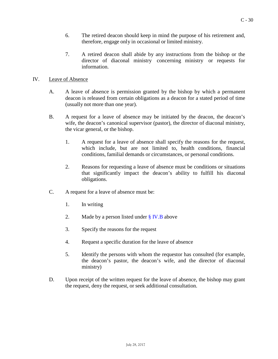- 6. The retired deacon should keep in mind the purpose of his retirement and, therefore, engage only in occasional or limited ministry.
- 7. A retired deacon shall abide by any instructions from the bishop or the director of diaconal ministry concerning ministry or requests for information.

#### IV. Leave of Absence

- A. A leave of absence is permission granted by the bishop by which a permanent deacon is released from certain obligations as a deacon for a stated period of time (usually not more than one year).
- <span id="page-29-0"></span>B. A request for a leave of absence may be initiated by the deacon, the deacon's wife, the deacon's canonical supervisor (pastor), the director of diaconal ministry, the vicar general, or the bishop.
	- 1. A request for a leave of absence shall specify the reasons for the request, which include, but are not limited to, health conditions, financial conditions, familial demands or circumstances, or personal conditions.
	- 2. Reasons for requesting a leave of absence must be conditions or situations that significantly impact the deacon's ability to fulfill his diaconal obligations.
- C. A request for a leave of absence must be:
	- 1. In writing
	- 2. Made by a person listed under  $\S$  IV.B above
	- 3. Specify the reasons for the request
	- 4. Request a specific duration for the leave of absence
	- 5. Identify the persons with whom the requestor has consulted (for example, the deacon's pastor, the deacon's wife, and the director of diaconal ministry)
- D. Upon receipt of the written request for the leave of absence, the bishop may grant the request, deny the request, or seek additional consultation.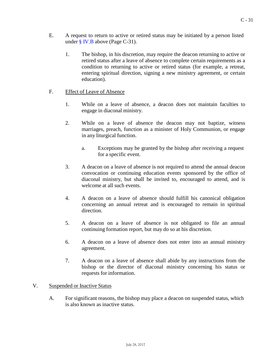- E. A request to return to active or retired status may be initiated by a person listed under § [IV.B](#page-29-0) above (Page C-31).
	- 1. The bishop, in his discretion, may require the deacon returning to active or retired status after a leave of absence to complete certain requirements as a condition to returning to active or retired status (for example, a retreat, entering spiritual direction, signing a new ministry agreement, or certain education).

#### F. Effect of Leave of Absence

- 1. While on a leave of absence, a deacon does not maintain faculties to engage in diaconal ministry.
- 2. While on a leave of absence the deacon may not baptize, witness marriages, preach, function as a minister of Holy Communion, or engage in any liturgical function.
	- a. Exceptions may be granted by the bishop after receiving a request for a specific event.
- 3. A deacon on a leave of absence is not required to attend the annual deacon convocation or continuing education events sponsored by the office of diaconal ministry, but shall be invited to, encouraged to attend, and is welcome at all such events.
- 4. A deacon on a leave of absence should fulfill his canonical obligation concerning an annual retreat and is encouraged to remain in spiritual direction.
- 5. A deacon on a leave of absence is not obligated to file an annual continuing formation report, but may do so at his discretion.
- 6. A deacon on a leave of absence does not enter into an annual ministry agreement.
- 7. A deacon on a leave of absence shall abide by any instructions from the bishop or the director of diaconal ministry concerning his status or requests for information.

#### V. Suspended or Inactive Status

A. For significant reasons, the bishop may place a deacon on suspended status, which is also known as inactive status.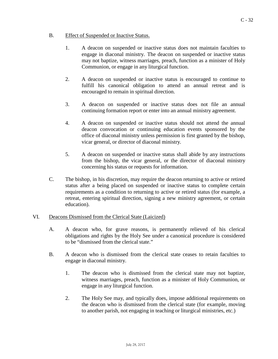#### B. Effect of Suspended or Inactive Status.

- 1. A deacon on suspended or inactive status does not maintain faculties to engage in diaconal ministry. The deacon on suspended or inactive status may not baptize, witness marriages, preach, function as a minister of Holy Communion, or engage in any liturgical function.
- 2. A deacon on suspended or inactive status is encouraged to continue to fulfill his canonical obligation to attend an annual retreat and is encouraged to remain in spiritual direction.
- 3. A deacon on suspended or inactive status does not file an annual continuing formation report or enter into an annual ministry agreement.
- 4. A deacon on suspended or inactive status should not attend the annual deacon convocation or continuing education events sponsored by the office of diaconal ministry unless permission is first granted by the bishop, vicar general, or director of diaconal ministry.
- 5. A deacon on suspended or inactive status shall abide by any instructions from the bishop, the vicar general, or the director of diaconal ministry concerning his status or requests for information.
- C. The bishop, in his discretion, may require the deacon returning to active or retired status after a being placed on suspended or inactive status to complete certain requirements as a condition to returning to active or retired status (for example, a retreat, entering spiritual direction, signing a new ministry agreement, or certain education).

#### VI. Deacons Dismissed from the Clerical State (Laicized)

- A. A deacon who, for grave reasons, is permanently relieved of his clerical obligations and rights by the Holy See under a canonical procedure is considered to be "dismissed from the clerical state."
- B. A deacon who is dismissed from the clerical state ceases to retain faculties to engage in diaconal ministry.
	- 1. The deacon who is dismissed from the clerical state may not baptize, witness marriages, preach, function as a minister of Holy Communion, or engage in any liturgical function.
	- 2. The Holy See may, and typically does, impose additional requirements on the deacon who is dismissed from the clerical state (for example, moving to another parish, not engaging in teaching or liturgical ministries, etc.)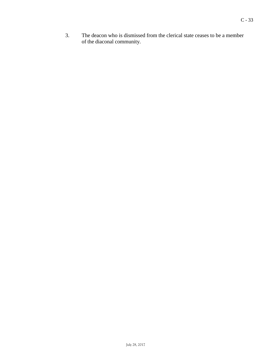3. The deacon who is dismissed from the clerical state ceases to be a member of the diaconal community.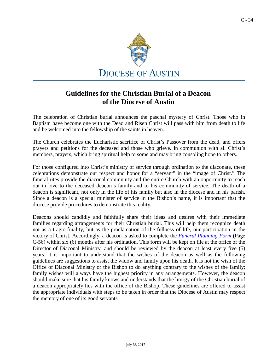

### **Guidelines for the Christian Burial of a Deacon of the Diocese of Austin**

The celebration of Christian burial announces the paschal mystery of Christ. Those who in Baptism have become one with the Dead and Risen Christ will pass with him from death to life and be welcomed into the fellowship of the saints in heaven.

The Church celebrates the Eucharistic sacrifice of Christ's Passover from the dead, and offers prayers and petitions for the deceased and those who grieve. In communion with all Christ's members, prayers, which bring spiritual help to some and may bring consoling hope to others.

For those configured into Christ's ministry of service through ordination to the diaconate, these celebrations demonstrate our respect and honor for a "servant" in the "image of Christ." The funeral rites provide the diaconal community and the entire Church with an opportunity to reach out in love to the deceased deacon's family and to his community of service. The death of a deacon is significant, not only in the life of his family but also in the diocese and in his parish. Since a deacon is a special minister of service in the Bishop's name, it is important that the diocese provide procedures to demonstrate this reality.

Deacons should candidly and faithfully share their ideas and desires with their immediate families regarding arrangements for their Christian burial. This will help them recognize death not as a tragic finality, but as the proclamation of the fullness of life, our participation in the victory of Christ. Accordingly, a deacon is asked to complete the *Funeral [Planning](#page-54-0) Form* (Page C-56) within six (6) months after his ordination. This form will be kept on file at the office of the Director of Diaconal Ministry, and should be reviewed by the deacon at least every five (5) years. It is important to understand that the wishes of the deacon as well as the following guidelines are suggestions to assist the widow and family upon his death. It is not the wish of the Office of Diaconal Ministry or the Bishop to do anything contrary to the wishes of the family; family wishes will always have the highest priority in any arrangements. However, the deacon should make sure that his family knows and understands that the liturgy of the Christian burial of a deacon appropriately lies with the office of the Bishop. These guidelines are offered to assist the appropriate individuals with steps to be taken in order that the Diocese of Austin may respect the memory of one of its good servants.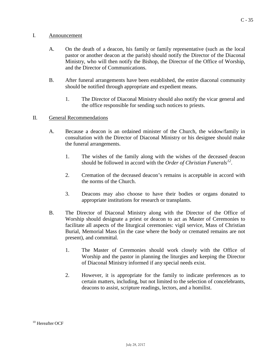#### I. Announcement

- A. On the death of a deacon, his family or family representative (such as the local pastor or another deacon at the parish) should notify the Director of the Diaconal Ministry, who will then notify the Bishop, the Director of the Office of Worship, and the Director of Communications.
- B. After funeral arrangements have been established, the entire diaconal community should be notified through appropriate and expedient means.
	- 1. The Director of Diaconal Ministry should also notify the vicar general and the office responsible for sending such notices to priests.

#### II. General Recommendations

- A. Because a deacon is an ordained minister of the Church, the widow/family in consultation with the Director of Diaconal Ministry or his designee should make the funeral arrangements.
	- 1. The wishes of the family along with the wishes of the deceased deacon should be followed in accord with the *Order of Christian Funerals [12](#page-34-0)*.
	- 2. Cremation of the deceased deacon's remains is acceptable in accord with the norms of the Church.
	- 3. Deacons may also choose to have their bodies or organs donated to appropriate institutions for research or transplants.
- <span id="page-34-0"></span>B. The Director of Diaconal Ministry along with the Director of the Office of Worship should designate a priest or deacon to act as Master of Ceremonies to facilitate all aspects of the liturgical ceremonies: vigil service, Mass of Christian Burial, Memorial Mass (in the case where the body or cremated remains are not present), and committal.
	- 1. The Master of Ceremonies should work closely with the Office of Worship and the pastor in planning the liturgies and keeping the Director of Diaconal Ministry informed if any special needs exist.
	- 2. However, it is appropriate for the family to indicate preferences as to certain matters, including, but not limited to the selection of concelebrants, deacons to assist, scripture readings, lectors, and a homilist.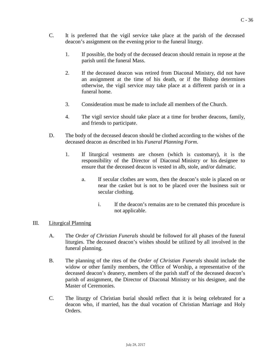- C. It is preferred that the vigil service take place at the parish of the deceased deacon's assignment on the evening prior to the funeral liturgy.
	- 1. If possible, the body of the deceased deacon should remain in repose at the parish until the funeral Mass.
	- 2. If the deceased deacon was retired from Diaconal Ministry, did not have an assignment at the time of his death, or if the Bishop determines otherwise, the vigil service may take place at a different parish or in a funeral home.
	- 3. Consideration must be made to include all members of the Church.
	- 4. The vigil service should take place at a time for brother deacons, family, and friends to participate.
- D. The body of the deceased deacon should be clothed according to the wishes of the deceased deacon as described in his *Funeral Planning Form*.
	- 1. If liturgical vestments are chosen (which is customary), it is the responsibility of the Director of Diaconal Ministry or his designee to ensure that the deceased deacon is vested in alb, stole, and/or dalmatic.
		- a. If secular clothes are worn, then the deacon's stole is placed on or near the casket but is not to be placed over the business suit or secular clothing.
			- i. If the deacon's remains are to be cremated this procedure is not applicable.

#### III. Liturgical Planning

- A. The *Order of Christian Funerals* should be followed for all phases of the funeral liturgies. The deceased deacon's wishes should be utilized by all involved in the funeral planning.
- B. The planning of the rites of the *Order of Christian Funerals* should include the widow or other family members, the Office of Worship, a representative of the deceased deacon's deanery, members of the parish staff of the deceased deacon's parish of assignment, the Director of Diaconal Ministry or his designee, and the Master of Ceremonies.
- C. The liturgy of Christian burial should reflect that it is being celebrated for a deacon who, if married, has the dual vocation of Christian Marriage and Holy Orders.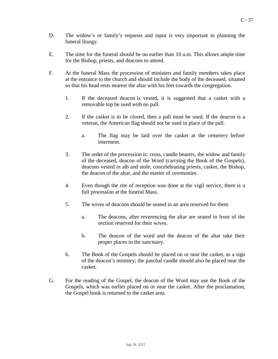- D. The widow's or family's requests and input is very important in planning the funeral liturgy.
- E. The time for the funeral should be no earlier than 10 a.m. This allows ample time for the Bishop, priests, and deacons to attend.
- F. At the funeral Mass the procession of ministers and family members takes place at the entrance to the church and should include the body of the deceased, situated so that his head rests nearest the altar with his feet towards the congregation.
	- 1. If the deceased deacon is vested, it is suggested that a casket with a removable top be used with no pall.
	- 2. If the casket is to be closed, then a pall must be used. If the deacon is a veteran, the American flag should not be used in place of the pall.
		- a. The flag may be laid over the casket at the cemetery before interment.
	- 3. The order of the procession is: cross, candle bearers, the widow and family of the deceased, deacon of the Word (carrying the Book of the Gospels), deacons vested in alb and stole, concelebrating priests, casket, the Bishop, the deacon of the altar, and the master of ceremonies.
	- 4. Even though the rite of reception was done at the vigil service, there is a full procession at the funeral Mass.
	- 5. The wives of deacons should be seated in an area reserved for them
		- a. The deacons, after reverencing the altar are seated in front of the section reserved for their wives.
		- b. The deacon of the word and the deacon of the altar take their proper places in the sanctuary.
	- 6. The Book of the Gospels should be placed on or near the casket, as a sign of the deacon's ministry; the paschal candle should also be placed near the casket.
- G. For the reading of the Gospel, the deacon of the Word may use the Book of the Gospels, which was earlier placed on or near the casket. After the proclamation, the Gospel book is returned to the casket area.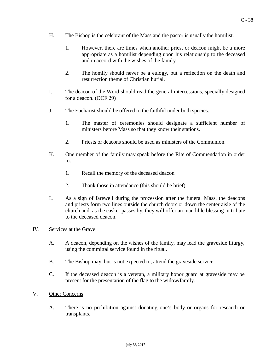- H. The Bishop is the celebrant of the Mass and the pastor is usually the homilist.
	- 1. However, there are times when another priest or deacon might be a more appropriate as a homilist depending upon his relationship to the deceased and in accord with the wishes of the family.
	- 2. The homily should never be a eulogy, but a reflection on the death and resurrection theme of Christian burial.
- I. The deacon of the Word should read the general intercessions, specially designed for a deacon. (OCF 29)
- J. The Eucharist should be offered to the faithful under both species.
	- 1. The master of ceremonies should designate a sufficient number of ministers before Mass so that they know their stations.
	- 2. Priests or deacons should be used as ministers of the Communion.
- K. One member of the family may speak before the Rite of Commendation in order to:
	- 1. Recall the memory of the deceased deacon
	- 2. Thank those in attendance (this should be brief)
- L. As a sign of farewell during the procession after the funeral Mass, the deacons and priests form two lines outside the church doors or down the center aisle of the church and, as the casket passes by, they will offer an inaudible blessing in tribute to the deceased deacon.

#### IV. Services at the Grave

- A. A deacon, depending on the wishes of the family, may lead the graveside liturgy, using the committal service found in the ritual.
- B. The Bishop may, but is not expected to, attend the graveside service.
- C. If the deceased deacon is a veteran, a military honor guard at graveside may be present for the presentation of the flag to the widow/family.
- V. Other Concerns
	- A. There is no prohibition against donating one's body or organs for research or transplants.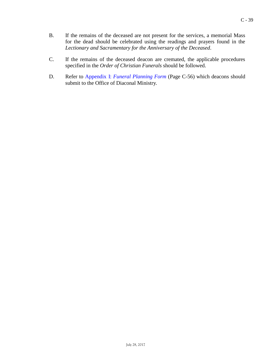- B. If the remains of the deceased are not present for the services, a memorial Mass for the dead should be celebrated using the readings and prayers found in the *Lectionary and Sacramentary for the Anniversary of the Deceased*.
- C. If the remains of the deceased deacon are cremated, the applicable procedures specified in the *Order of Christian Funerals* should be followed.
- D. Refer to [Appendix](#page-54-0) I: *Funeral Planning Form* (Page C-56) which deacons should submit to the Office of Diaconal Ministry.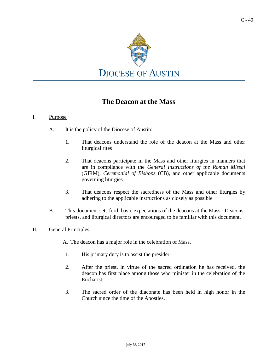

### **The Deacon at the Mass**

#### I. Purpose

- A. It is the policy of the Diocese of Austin:
	- 1. That deacons understand the role of the deacon at the Mass and other liturgical rites
	- 2. That deacons participate in the Mass and other liturgies in manners that are in compliance with the *General Instructions of the Roman Missal*  (GIRM), *Ceremonial of Bishops* (CB), and other applicable documents governing liturgies
	- 3. That deacons respect the sacredness of the Mass and other liturgies by adhering to the applicable instructions as closely as possible
- B. This document sets forth basic expectations of the deacons at the Mass. Deacons, priests, and liturgical directors are encouraged to be familiar with this document.

#### II. General Principles

A. The deacon has a major role in the celebration of Mass.

- 1. His primary duty is to assist the presider.
- 2. After the priest, in virtue of the sacred ordination he has received, the deacon has first place among those who minister in the celebration of the Eucharist.
- 3. The sacred order of the diaconate has been held in high honor in the Church since the time of the Apostles.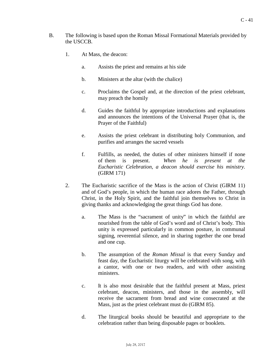- B. The following is based upon the Roman Missal Formational Materials provided by the USCCB.
	- 1. At Mass, the deacon:
		- a. Assists the priest and remains at his side
		- b. Ministers at the altar (with the chalice)
		- c. Proclaims the Gospel and, at the direction of the priest celebrant, may preach the homily
		- d. Guides the faithful by appropriate introductions and explanations and announces the intentions of the Universal Prayer (that is, the Prayer of the Faithful)
		- e. Assists the priest celebrant in distributing holy Communion, and purifies and arranges the sacred vessels
		- f. Fulfills, as needed, the duties of other ministers himself if none of them is present. *When he is present at the Eucharistic Celebration, a deacon should exercise his ministry.*  (GIRM 171)
	- 2. The Eucharistic sacrifice of the Mass is the action of Christ (GIRM 11) and of God's people, in which the human race adores the Father, through Christ, in the Holy Spirit, and the faithful join themselves to Christ in giving thanks and acknowledging the great things God has done.
		- a. The Mass is the "sacrament of unity" in which the faithful are nourished from the table of God's word and of Christ's body. This unity is expressed particularly in common posture, in communal signing, reverential silence, and in sharing together the one bread and one cup.
		- b. The assumption of the *Roman Missal* is that every Sunday and feast day, the Eucharistic liturgy will be celebrated with song, with a cantor, with one or two readers, and with other assisting ministers.
		- c. It is also most desirable that the faithful present at Mass, priest celebrant, deacon, ministers, and those in the assembly, will receive the sacrament from bread and wine consecrated at the Mass, just as the priest celebrant must do (GIRM 85).
		- d. The liturgical books should be beautiful and appropriate to the celebration rather than being disposable pages or booklets.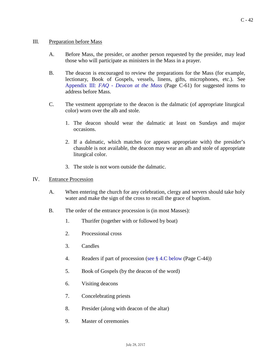#### III. Preparation before Mass

- A. Before Mass, the presider, or another person requested by the presider, may lead those who will participate as ministers in the Mass in a prayer.
- B. The deacon is encouraged to review the preparations for the Mass (for example, lectionary, Book of Gospels, vessels, linens, gifts, microphones, etc.). See [Appendix](#page-59-0) III: *FAQ - Deacon at the Mass* (Page C-61) for suggested items to address before Mass.
- C. The vestment appropriate to the deacon is the dalmatic (of appropriate liturgical color) worn over the alb and stole.
	- 1. The deacon should wear the dalmatic at least on Sundays and major occasions.
	- 2. If a dalmatic, which matches (or appears appropriate with) the presider's chasuble is not available, the deacon may wear an alb and stole of appropriate liturgical color.
	- 3. The stole is not worn outside the dalmatic.

#### IV. Entrance Procession

- A. When entering the church for any celebration, clergy and servers should take holy water and make the sign of the cross to recall the grace of baptism.
- B. The order of the entrance procession is (in most Masses):
	- 1. Thurifer (together with or followed by boat)
	- 2. Processional cross
	- 3. Candles
	- 4. Readers if part of procession (see [§ 4.C below](#page-42-0) (Page C-44))
	- 5. Book of Gospels (by the deacon of the word)
	- 6. Visiting deacons
	- 7. Concelebrating priests
	- 8. Presider (along with deacon of the altar)
	- 9. Master of ceremonies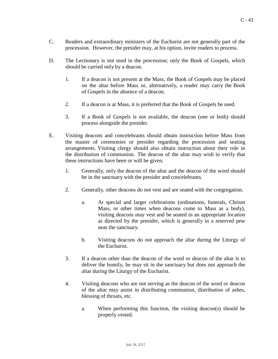- <span id="page-42-0"></span>C. Readers and extraordinary ministers of the Eucharist are not generally part of the procession. However, the presider may, at his option, invite readers to process.
- D. The Lectionary is not used in the procession; only the Book of Gospels, which should be carried only by a deacon.
	- 1. If a deacon is not present at the Mass, the Book of Gospels may be placed on the altar before Mass or, alternatively, a reader may carry the Book of Gospels in the absence of a deacon.
	- 2. If a deacon is at Mass, it is preferred that the Book of Gospels be used.
	- 3. If a Book of Gospels is not available, the deacon (one or both) should process alongside the presider.
- E. Visiting deacons and concelebrants should obtain instruction before Mass from the master of ceremonies or presider regarding the procession and seating arrangements. Visiting clergy should also obtain instruction about their role in the distribution of communion. The deacon of the altar may wish to verify that these instructions have been or will be given.
	- 1. Generally, only the deacon of the altar and the deacon of the word should be in the sanctuary with the presider and concelebrants.
	- 2. Generally, other deacons do not vest and are seated with the congregation.
		- a. At special and larger celebrations (ordinations, funerals, Chrism Mass, or other times when deacons come to Mass as a body), visiting deacons may vest and be seated in an appropriate location as directed by the presider, which is generally in a reserved pew near the sanctuary.
		- b. Visiting deacons do not approach the altar during the Liturgy of the Eucharist.
	- 3. If a deacon other than the deacon of the word or deacon of the altar is to deliver the homily, he may sit in the sanctuary but does not approach the altar during the Liturgy of the Eucharist.
	- 4. Visiting deacons who are not serving as the deacon of the word or deacon of the altar may assist in distributing communion, distribution of ashes, blessing of throats, etc.
		- a. When performing this function, the visiting deacon(s) should be properly vested.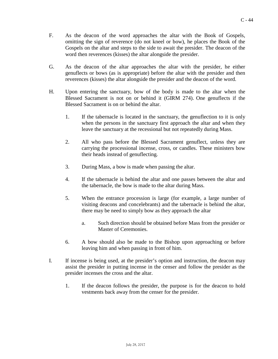- F. As the deacon of the word approaches the altar with the Book of Gospels, omitting the sign of reverence (do not kneel or bow), he places the Book of the Gospels on the altar and steps to the side to await the presider. The deacon of the word then reverences (kisses) the altar alongside the presider.
- G. As the deacon of the altar approaches the altar with the presider, he either genuflects or bows (as is appropriate) before the altar with the presider and then reverences (kisses) the altar alongside the presider and the deacon of the word.
- H. Upon entering the sanctuary, bow of the body is made to the altar when the Blessed Sacrament is not on or behind it (GIRM 274). One genuflects if the Blessed Sacrament is on or behind the altar.
	- 1. If the tabernacle is located in the sanctuary, the genuflection to it is only when the persons in the sanctuary first approach the altar and when they leave the sanctuary at the recessional but not repeatedly during Mass.
	- 2. All who pass before the Blessed Sacrament genuflect, unless they are carrying the processional incense, cross, or candles. These ministers bow their heads instead of genuflecting.
	- 3. During Mass, a bow is made when passing the altar.
	- 4. If the tabernacle is behind the altar and one passes between the altar and the tabernacle, the bow is made to the altar during Mass.
	- 5. When the entrance procession is large (for example, a large number of visiting deacons and concelebrants) and the tabernacle is behind the altar, there may be need to simply bow as they approach the altar
		- a. Such direction should be obtained before Mass from the presider or Master of Ceremonies.
	- 6. A bow should also be made to the Bishop upon approaching or before leaving him and when passing in front of him.
- I. If incense is being used, at the presider's option and instruction, the deacon may assist the presider in putting incense in the censer and follow the presider as the presider incenses the cross and the altar.
	- 1. If the deacon follows the presider, the purpose is for the deacon to hold vestments back away from the censer for the presider.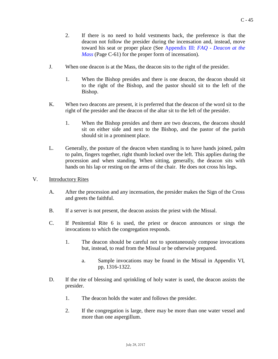- 2. If there is no need to hold vestments back, the preference is that the deacon not follow the presider during the incensation and, instead, move toward his seat or proper place (See [Appendix](#page-59-0) III: *FAQ - Deacon at the [Mass](#page-59-0)* (Page C-61) for the proper form of incensation).
- J. When one deacon is at the Mass, the deacon sits to the right of the presider.
	- 1. When the Bishop presides and there is one deacon, the deacon should sit to the right of the Bishop, and the pastor should sit to the left of the Bishop.
- K. When two deacons are present, it is preferred that the deacon of the word sit to the right of the presider and the deacon of the altar sit to the left of the presider.
	- 1. When the Bishop presides and there are two deacons, the deacons should sit on either side and next to the Bishop, and the pastor of the parish should sit in a prominent place.
- L. Generally, the posture of the deacon when standing is to have hands joined, palm to palm, fingers together, right thumb locked over the left. This applies during the procession and when standing. When sitting, generally, the deacon sits with hands on his lap or resting on the arms of the chair. He does not cross his legs.
- V. Introductory Rites
	- A. After the procession and any incensation, the presider makes the Sign of the Cross and greets the faithful.
	- B. If a server is not present, the deacon assists the priest with the Missal.
	- C. If Penitential Rite 6 is used, the priest or deacon announces or sings the invocations to which the congregation responds.
		- 1. The deacon should be careful not to spontaneously compose invocations but, instead, to read from the Missal or be otherwise prepared.
			- a. Sample invocations may be found in the Missal in Appendix VI, pp, 1316-1322.
	- D. If the rite of blessing and sprinkling of holy water is used, the deacon assists the presider.
		- 1. The deacon holds the water and follows the presider.
		- 2. If the congregation is large, there may be more than one water vessel and more than one aspergillum.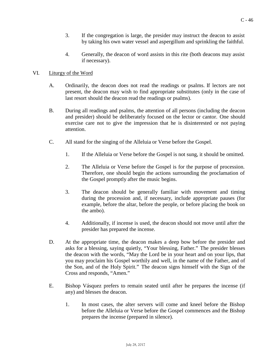- 3. If the congregation is large, the presider may instruct the deacon to assist by taking his own water vessel and aspergillum and sprinkling the faithful.
- 4. Generally, the deacon of word assists in this rite (both deacons may assist if necessary).

#### VI. Liturgy of the Word

- A. Ordinarily, the deacon does not read the readings or psalms. If lectors are not present, the deacon may wish to find appropriate substitutes (only in the case of last resort should the deacon read the readings or psalms).
- B. During all readings and psalms, the attention of all persons (including the deacon and presider) should be deliberately focused on the lector or cantor. One should exercise care not to give the impression that he is disinterested or not paying attention.
- C. All stand for the singing of the Alleluia or Verse before the Gospel.
	- 1. If the Alleluia or Verse before the Gospel is not sung, it should be omitted.
	- 2. The Alleluia or Verse before the Gospel is for the purpose of procession. Therefore, one should begin the actions surrounding the proclamation of the Gospel promptly after the music begins.
	- 3. The deacon should be generally familiar with movement and timing during the procession and, if necessary, include appropriate pauses (for example, before the altar, before the people, or before placing the book on the ambo).
	- 4. Additionally, if incense is used, the deacon should not move until after the presider has prepared the incense.
- D. At the appropriate time, the deacon makes a deep bow before the presider and asks for a blessing, saying quietly, "Your blessing, Father." The presider blesses the deacon with the words, "May the Lord be in your heart and on your lips, that you may proclaim his Gospel worthily and well, in the name of the Father, and of the Son, and of the Holy Spirit." The deacon signs himself with the Sign of the Cross and responds, "Amen."
- E. Bishop Vásquez prefers to remain seated until after he prepares the incense (if any) and blesses the deacon.
	- 1. In most cases, the alter servers will come and kneel before the Bishop before the Alleluia or Verse before the Gospel commences and the Bishop prepares the incense (prepared in silence).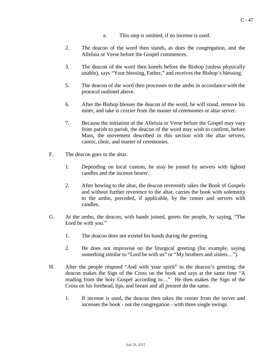- a. This step is omitted, if no incense is used.
- 2. The deacon of the word then stands, as does the congregation, and the Alleluia or Verse before the Gospel commences.
- 3. The deacon of the word then kneels before the Bishop (unless physically unable), says "Your blessing, Father," and receives the Bishop's blessing.
- 5. The deacon of the word then processes to the ambo in accordance with the protocol outlined above.
- 6. After the Bishop blesses the deacon of the word, he will stand, remove his miter, and take is crozier from the master of ceremonies or altar server.
- 7. Because the initiation of the Alleluia or Verse before the Gospel may vary from parish to parish, the deacon of the word may wish to confirm, before Mass, the movement described in this section with the altar servers, cantor, choir, and master of ceremonies.
- F. The deacon goes to the altar.
	- 1. Depending on local custom, he may be joined by servers with lighted candles and the incense bearer.
	- 2. After bowing to the altar, the deacon reverently takes the Book of Gospels and without further reverence to the altar, carries the book with solemnity to the ambo, preceded, if applicable, by the censer and servers with candles.
- G. At the ambo, the deacon, with hands joined, greets the people, by saying, "The Lord be with you."
	- 1. The deacon does not extend his hands during the greeting.
	- 2. He does not improvise on the liturgical greeting (for example, saying something similar to "Lord be with us" or "My brothers and sisters…").
- H. After the people respond "And with your spirit" to the deacon's greeting, the deacon makes the Sign of the Cross on the book and says at the same time "A reading from the holy Gospel according to…" He then makes the Sign of the Cross on his forehead, lips, and breast and all present do the same.
	- 1. If incense is used, the deacon then takes the censer from the server and incenses the book - not the congregation - with three single swings.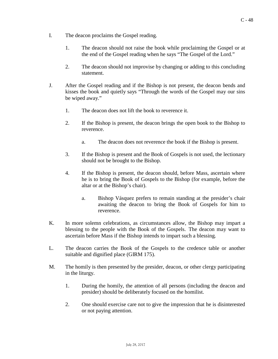- I. The deacon proclaims the Gospel reading.
	- 1. The deacon should not raise the book while proclaiming the Gospel or at the end of the Gospel reading when he says "The Gospel of the Lord."
	- 2. The deacon should not improvise by changing or adding to this concluding statement.
- J. After the Gospel reading and if the Bishop is not present, the deacon bends and kisses the book and quietly says "Through the words of the Gospel may our sins be wiped away."
	- 1. The deacon does not lift the book to reverence it.
	- 2. If the Bishop is present, the deacon brings the open book to the Bishop to reverence.
		- a. The deacon does not reverence the book if the Bishop is present.
	- 3. If the Bishop is present and the Book of Gospels is not used, the lectionary should not be brought to the Bishop.
	- 4. If the Bishop is present, the deacon should, before Mass, ascertain where he is to bring the Book of Gospels to the Bishop (for example, before the altar or at the Bishop's chair).
		- a. Bishop Vásquez prefers to remain standing at the presider's chair awaiting the deacon to bring the Book of Gospels for him to reverence.
- K. In more solemn celebrations, as circumstances allow, the Bishop may impart a blessing to the people with the Book of the Gospels. The deacon may want to ascertain before Mass if the Bishop intends to impart such a blessing.
- L. The deacon carries the Book of the Gospels to the credence table or another suitable and dignified place (GIRM 175).
- M. The homily is then presented by the presider, deacon, or other clergy participating in the liturgy.
	- 1. During the homily, the attention of all persons (including the deacon and presider) should be deliberately focused on the homilist.
	- 2. One should exercise care not to give the impression that he is disinterested or not paying attention.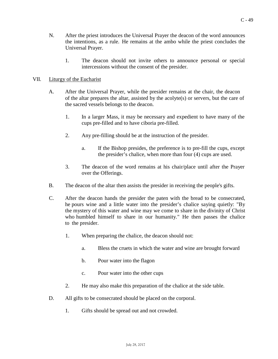- N. After the priest introduces the Universal Prayer the deacon of the word announces the intentions, as a rule. He remains at the ambo while the priest concludes the Universal Prayer.
	- 1. The deacon should not invite others to announce personal or special intercessions without the consent of the presider.

#### VII. Liturgy of the Eucharist

- A. After the Universal Prayer, while the presider remains at the chair, the deacon of the altar prepares the altar, assisted by the acolyte(s) or servers, but the care of the sacred vessels belongs to the deacon.
	- 1. In a larger Mass, it may be necessary and expedient to have many of the cups pre-filled and to have ciboria pre-filled.
	- 2. Any pre-filling should be at the instruction of the presider.
		- a. If the Bishop presides, the preference is to pre-fill the cups, except the presider's chalice, when more than four (4) cups are used.
	- 3. The deacon of the word remains at his chair/place until after the Prayer over the Offerings.
- B. The deacon of the altar then assists the presider in receiving the people's gifts.
- C. After the deacon hands the presider the paten with the bread to be consecrated, he pours wine and a little water into the presider's chalice saying quietly: "By the mystery of this water and wine may we come to share in the divinity of Christ who humbled himself to share in our humanity." He then passes the chalice to the presider.
	- 1. When preparing the chalice, the deacon should not:
		- a. Bless the cruets in which the water and wine are brought forward
		- b. Pour water into the flagon
		- c. Pour water into the other cups
	- 2. He may also make this preparation of the chalice at the side table.
- D. All gifts to be consecrated should be placed on the corporal.
	- 1. Gifts should be spread out and not crowded.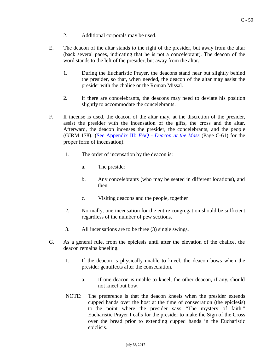- 2. Additional corporals may be used.
- E. The deacon of the altar stands to the right of the presider, but away from the altar (back several paces, indicating that he is not a concelebrant). The deacon of the word stands to the left of the presider, but away from the altar.
	- 1. During the Eucharistic Prayer, the deacons stand near but slightly behind the presider, so that, when needed, the deacon of the altar may assist the presider with the chalice or the Roman Missal.
	- 2. If there are concelebrants, the deacons may need to deviate his position slightly to accommodate the concelebrants.
- F. If incense is used, the deacon of the altar may, at the discretion of the presider, assist the presider with the incensation of the gifts, the cross and the altar. Afterward, the deacon incenses the presider, the concelebrants, and the people (GIRM 178). (See [Appendix](#page-59-0) III: *FAQ - Deacon at the Mass* (Page C-61) for the proper form of incensation).
	- 1. The order of incensation by the deacon is:
		- a. The presider
		- b. Any concelebrants (who may be seated in different locations), and then
		- c. Visiting deacons and the people, together
	- 2. Normally, one incensation for the entire congregation should be sufficient regardless of the number of pew sections.
	- 3. All incensations are to be three (3) single swings.
- G. As a general rule, from the epiclesis until after the elevation of the chalice, the deacon remains kneeling.
	- 1. If the deacon is physically unable to kneel, the deacon bows when the presider genuflects after the consecration.
		- a. If one deacon is unable to kneel, the other deacon, if any, should not kneel but bow.
	- NOTE: The preference is that the deacon kneels when the presider extends cupped hands over the host at the time of consecration (the epiclesis) to the point where the presider says "The mystery of faith." Eucharistic Prayer I calls for the presider to make the Sign of the Cross over the bread prior to extending cupped hands in the Eucharistic epiclisis.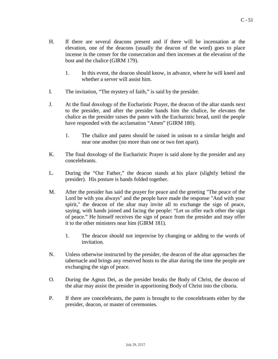- H. If there are several deacons present and if there will be incensation at the elevation, one of the deacons (usually the deacon of the word) goes to place incense in the censer for the consecration and then incenses at the elevation of the host and the chalice (GIRM 179).
	- 1. In this event, the deacon should know, in advance, where he will kneel and whether a server will assist him.
- I. The invitation, "The mystery of faith," is said by the presider.
- J. At the final doxology of the Eucharistic Prayer, the deacon of the altar stands next to the presider, and after the presider hands him the chalice, he elevates the chalice as the presider raises the paten with the Eucharistic bread, until the people have responded with the acclamation "Amen" (GIRM 180).
	- 1. The chalice and paten should be raised in unison to a similar height and near one another (no more than one or two feet apart).
- K. The final doxology of the Eucharistic Prayer is said alone by the presider and any concelebrants.
- L. During the "Our Father," the deacon stands at his place (slightly behind the presider). His posture is hands folded together.
- M. After the presider has said the prayer for peace and the greeting "The peace of the Lord be with you always" and the people have made the response "And with your spirit," the deacon of the altar may invite all to exchange the sign of peace, saying, with hands joined and facing the people: "Let us offer each other the sign of peace." He himself receives the sign of peace from the presider and may offer it to the other ministers near him (GIRM 181).
	- 1. The deacon should not improvise by changing or adding to the words of invitation.
- N. Unless otherwise instructed by the presider, the deacon of the altar approaches the tabernacle and brings any reserved hosts to the altar during the time the people are exchanging the sign of peace.
- O. During the Agnus Dei, as the presider breaks the Body of Christ, the deacon of the altar may assist the presider in apportioning Body of Christ into the ciboria.
- P. If there are concelebrants, the paten is brought to the concelebrants either by the presider, deacon, or master of ceremonies.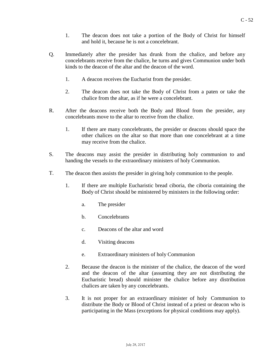- 1. The deacon does not take a portion of the Body of Christ for himself and hold it, because he is not a concelebrant.
- Q. Immediately after the presider has drunk from the chalice, and before any concelebrants receive from the chalice, he turns and gives Communion under both kinds to the deacon of the altar and the deacon of the word.
	- 1. A deacon receives the Eucharist from the presider.
	- 2. The deacon does not take the Body of Christ from a paten or take the chalice from the altar, as if he were a concelebrant.
- R. After the deacons receive both the Body and Blood from the presider, any concelebrants move to the altar to receive from the chalice.
	- 1. If there are many concelebrants, the presider or deacons should space the other chalices on the altar so that more than one concelebrant at a time may receive from the chalice.
- S. The deacons may assist the presider in distributing holy communion to and handing the vessels to the extraordinary ministers of holy Communion.
- T. The deacon then assists the presider in giving holy communion to the people.
	- 1. If there are multiple Eucharistic bread ciboria, the ciboria containing the Body of Christ should be ministered by ministers in the following order:
		- a. The presider
		- b. Concelebrants
		- c. Deacons of the altar and word
		- d. Visiting deacons
		- e. Extraordinary ministers of holy Communion
	- 2. Because the deacon is the minister of the chalice, the deacon of the word and the deacon of the altar (assuming they are not distributing the Eucharistic bread) should minister the chalice before any distribution chalices are taken by any concelebrants.
	- 3. It is not proper for an extraordinary minister of holy Communion to distribute the Body or Blood of Christ instead of a priest or deacon who is participating in the Mass (exceptions for physical conditions may apply).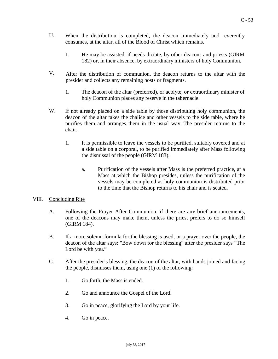- U. When the distribution is completed, the deacon immediately and reverently consumes, at the altar, all of the Blood of Christ which remains.
	- 1. He may be assisted, if needs dictate, by other deacons and priests (GIRM 182) or, in their absence, by extraordinary ministers of holy Communion.
- V. After the distribution of communion, the deacon returns to the altar with the presider and collects any remaining hosts or fragments.
	- 1. The deacon of the altar (preferred), or acolyte, or extraordinary minister of holy Communion places any reserve in the tabernacle.
- W. If not already placed on a side table by those distributing holy communion, the deacon of the altar takes the chalice and other vessels to the side table, where he purifies them and arranges them in the usual way. The presider returns to the chair.
	- 1. It is permissible to leave the vessels to be purified, suitably covered and at a side table on a corporal, to be purified immediately after Mass following the dismissal of the people (GIRM 183).
		- a. Purification of the vessels after Mass is the preferred practice, at a Mass at which the Bishop presides, unless the purification of the vessels may be completed as holy communion is distributed prior to the time that the Bishop returns to his chair and is seated.

#### VIII. Concluding Rite

- A. Following the Prayer After Communion, if there are any brief announcements, one of the deacons may make them, unless the priest prefers to do so himself (GIRM 184).
- B. If a more solemn formula for the blessing is used, or a prayer over the people, the deacon of the altar says: "Bow down for the blessing" after the presider says "The Lord be with you."
- C. After the presider's blessing, the deacon of the altar, with hands joined and facing the people, dismisses them, using one (1) of the following:
	- 1. Go forth, the Mass is ended.
	- 2. Go and announce the Gospel of the Lord.
	- 3. Go in peace, glorifying the Lord by your life.
	- 4. Go in peace.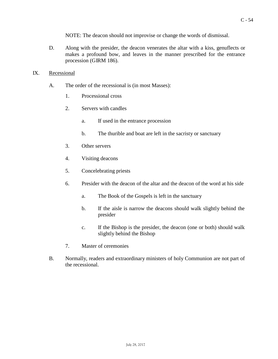NOTE: The deacon should not improvise or change the words of dismissal.

D. Along with the presider, the deacon venerates the altar with a kiss, genuflects or makes a profound bow, and leaves in the manner prescribed for the entrance procession (GIRM 186).

#### IX. Recessional

- A. The order of the recessional is (in most Masses):
	- 1. Processional cross
	- 2. Servers with candles
		- a. If used in the entrance procession
		- b. The thurible and boat are left in the sacristy or sanctuary
	- 3. Other servers
	- 4. Visiting deacons
	- 5. Concelebrating priests
	- 6. Presider with the deacon of the altar and the deacon of the word at his side
		- a. The Book of the Gospels is left in the sanctuary
		- b. If the aisle is narrow the deacons should walk slightly behind the presider
		- c. If the Bishop is the presider, the deacon (one or both) should walk slightly behind the Bishop
	- 7. Master of ceremonies
- B. Normally, readers and extraordinary ministers of holy Communion are not part of the recessional.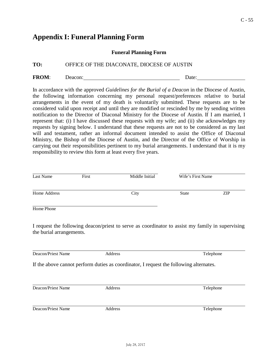### <span id="page-54-0"></span>**Appendix I: Funeral Planning Form**

#### **Funeral Planning Form**

#### **TO:** OFFICE OF THE DIACONATE, DIOCESE OF AUSTIN

FROM: Deacon: Deacon: Deacon: Date:

In accordance with the approved *Guidelines for the Burial of a Deacon* in the Diocese of Austin, the following information concerning my personal request/preferences relative to burial arrangements in the event of my death is voluntarily submitted. These requests are to be considered valid upon receipt and until they are modified or rescinded by me by sending written notification to the Director of Diaconal Ministry for the Diocese of Austin. If I am married, I represent that: (i) I have discussed these requests with my wife; and (ii) she acknowledges my requests by signing below. I understand that these requests are not to be considered as my last will and testament, rather an informal document intended to assist the Office of Diaconal Ministry, the Bishop of the Diocese of Austin, and the Director of the Office of Worship in carrying out their responsibilities pertinent to my burial arrangements. I understand that it is my responsibility to review this form at least every five years.

| Last Name    | First | Middle Initial | Wife's First Name |     |
|--------------|-------|----------------|-------------------|-----|
| Home Address |       | City           | <b>State</b>      | ZIP |
| Home Phone   |       |                |                   |     |

I request the following deacon/priest to serve as coordinator to assist my family in supervising the burial arrangements.

Deacon/Priest Name Address Telephone

If the above cannot perform duties as coordinator, I request the following alternates.

Deacon/Priest Name Address Telephone

Deacon/Priest Name Address Telephone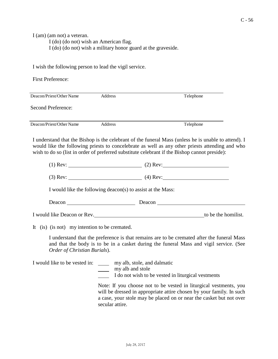I (am) (am not) a veteran.

I (do) (do not) wish an American flag.

I (do) (do not) wish a military honor guard at the graveside.

I wish the following person to lead the vigil service.

| <b>First Preference:</b> |         |           |  |
|--------------------------|---------|-----------|--|
| Deacon/Priest/Other Name | Address | Telephone |  |
| Second Preference:       |         |           |  |
| Deacon/Priest/Other Name | Address | Telephone |  |

I understand that the Bishop is the celebrant of the funeral Mass (unless he is unable to attend). I would like the following priests to concelebrate as well as any other priests attending and who wish to do so (list in order of preferred substitute celebrant if the Bishop cannot preside):

(1) Rev:  $(2)$  Rev:

(3) Rev:  $(4)$  Rev:

I would like the following deacon(s) to assist at the Mass:

Deacon Deacon Deacon Deacon

I would like Deacon or Rev. to be the homilist.

It (is) (is not) my intention to be cremated.

I understand that the preference is that remains are to be cremated after the funeral Mass and that the body is to be in a casket during the funeral Mass and vigil service. (See *Order of Christian Burials*).

I would like to be vested in: \_\_\_\_\_\_ my alb, stole, and dalmatic

my alb and stole

I do not wish to be vested in liturgical vestments

Note: If you choose not to be vested in liturgical vestments, you will be dressed in appropriate attire chosen by your family. In such a case, your stole may be placed on or near the casket but not over secular attire.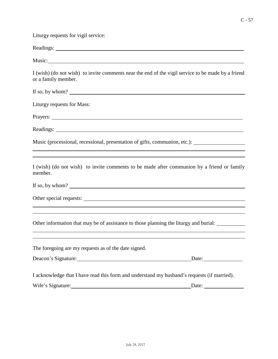$C - 57$ 

Liturgy requests for vigil service:

| Music:                                                                                                                                                                                    |
|-------------------------------------------------------------------------------------------------------------------------------------------------------------------------------------------|
| I (wish) (do not wish) to invite comments near the end of the vigil service to be made by a friend<br>or a family member.                                                                 |
| If so, by whom? $\qquad \qquad$                                                                                                                                                           |
| Liturgy requests for Mass:                                                                                                                                                                |
|                                                                                                                                                                                           |
|                                                                                                                                                                                           |
| Music (processional, recessional, presentation of gifts, communion, etc.): ________________________                                                                                       |
| ,我们也不会有什么。""我们的人,我们也不会有什么?""我们的人,我们也不会有什么?""我们的人,我们也不会有什么?""我们的人,我们也不会有什么?""我们的人<br>I (wish) (do not wish) to invite comments to be made after communion by a friend or family<br>member. |
| If so, by whom?                                                                                                                                                                           |
|                                                                                                                                                                                           |
| Other information that may be of assistance to those planning the liturgy and burial:                                                                                                     |
| The foregoing are my requests as of the date signed.                                                                                                                                      |
| Date:                                                                                                                                                                                     |
| I acknowledge that I have read this form and understand my husband's requests (if married).<br>Wife's Signature:<br>Date:                                                                 |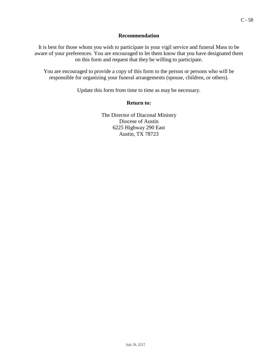#### **Recommendation**

It is best for those whom you wish to participate in your vigil service and funeral Mass to be aware of your preferences. You are encouraged to let them know that you have designated them on this form and request that they be willing to participate.

You are encouraged to provide a copy of this form to the person or persons who will be responsible for organizing your funeral arrangements (spouse, children, or others).

Update this form from time to time as may be necessary.

#### **Return to:**

The Director of Diaconal Ministry Diocese of Austin 6225 Highway 290 East Austin, TX 78723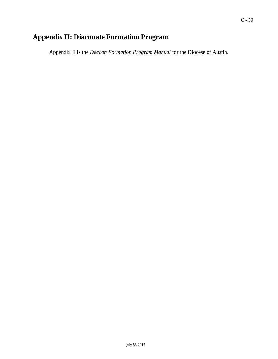## **Appendix II: Diaconate Formation Program**

Appendix II is the *Deacon Formation Program Manual* for the Diocese of Austin.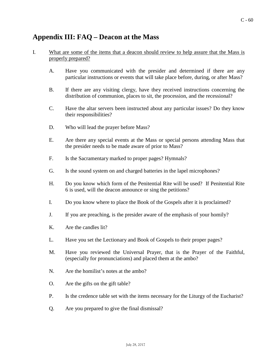### <span id="page-59-0"></span>**Appendix III: FAQ – Deacon at the Mass**

#### I. What are some of the items that a deacon should review to help assure that the Mass is properly prepared?

- A. Have you communicated with the presider and determined if there are any particular instructions or events that will take place before, during, or after Mass?
- B. If there are any visiting clergy, have they received instructions concerning the distribution of communion, places to sit, the procession, and the recessional?
- C. Have the altar servers been instructed about any particular issues? Do they know their responsibilities?
- D. Who will lead the prayer before Mass?
- E. Are there any special events at the Mass or special persons attending Mass that the presider needs to be made aware of prior to Mass?
- F. Is the Sacramentary marked to proper pages? Hymnals?
- G. Is the sound system on and charged batteries in the lapel microphones?
- H. Do you know which form of the Penitential Rite will be used? If Penitential Rite 6 is used, will the deacon announce or sing the petitions?
- I. Do you know where to place the Book of the Gospels after it is proclaimed?
- J. If you are preaching, is the presider aware of the emphasis of your homily?
- K. Are the candles lit?
- L. Have you set the Lectionary and Book of Gospels to their proper pages?
- M. Have you reviewed the Universal Prayer, that is the Prayer of the Faithful, (especially for pronunciations) and placed them at the ambo?
- N. Are the homilist's notes at the ambo?
- O. Are the gifts on the gift table?
- P. Is the credence table set with the items necessary for the Liturgy of the Eucharist?
- Q. Are you prepared to give the final dismissal?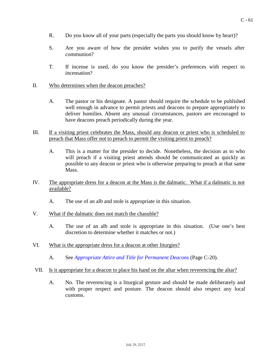- R. Do you know all of your parts (especially the parts you should know by heart)?
- S. Are you aware of how the presider wishes you to purify the vessels after communion?
- T. If incense is used, do you know the presider's preferences with respect to incensation?
- II. Who determines when the deacon preaches?
	- A. The pastor or his designate. A pastor should require the schedule to be published well enough in advance to permit priests and deacons to prepare appropriately to deliver homilies. Absent any unusual circumstances, pastors are encouraged to have deacons preach periodically during the year.
- III. If a visiting priest celebrates the Mass, should any deacon or priest who is scheduled to preach that Mass offer not to preach to permit the visiting priest to preach?
	- A. This is a matter for the presider to decide. Nonetheless, the decision as to who will preach if a visiting priest attends should be communicated as quickly as possible to any deacon or priest who is otherwise preparing to preach at that same Mass.
- IV. The appropriate dress for a deacon at the Mass is the dalmatic. What if a dalmatic is not available?
	- A. The use of an alb and stole is appropriate in this situation.
- V. What if the dalmatic does not match the chasuble?
	- A. The use of an alb and stole is appropriate in this situation. (Use one's best discretion to determine whether it matches or not.)
- VI. What is the appropriate dress for a deacon at other liturgies?
	- A. See *Appropriate Attire and Title [for Permanent Deacons](#page-19-0)* (Page C-20).
- VII. Is it appropriate for a deacon to place his hand on the altar when reverencing the altar?
	- A. No. The reverencing is a liturgical gesture and should be made deliberately and with proper respect and posture. The deacon should also respect any local customs.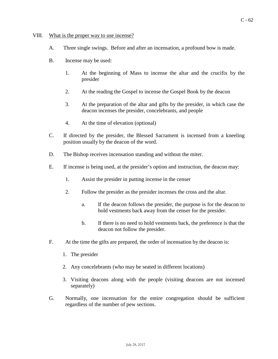#### VIII. What is the proper way to use incense?

- A. Three single swings. Before and after an incensation, a profound bow is made.
- B. Incense may be used:
	- 1. At the beginning of Mass to incense the altar and the crucifix by the presider
	- 2. At the reading the Gospel to incense the Gospel Book by the deacon
	- 3. At the preparation of the altar and gifts by the presider, in which case the deacon incenses the presider, concelebrants, and people
	- 4. At the time of elevation (optional)
- C. If directed by the presider, the Blessed Sacrament is incensed from a kneeling position usually by the deacon of the word.
- D. The Bishop receives incensation standing and without the miter.
- E. If incense is being used, at the presider's option and instruction, the deacon may:
	- 1. Assist the presider in putting incense in the censer
	- 2. Follow the presider as the presider incenses the cross and the altar.
		- a. If the deacon follows the presider, the purpose is for the deacon to hold vestments back away from the censer for the presider.
		- b. If there is no need to hold vestments back, the preference is that the deacon not follow the presider.
- F. At the time the gifts are prepared, the order of incensation by the deacon is:
	- 1. The presider
	- 2. Any concelebrants (who may be seated in different locations)
	- 3. Visiting deacons along with the people (visiting deacons are not incensed separately)
- G. Normally, one incensation for the entire congregation should be sufficient regardless of the number of pew sections.